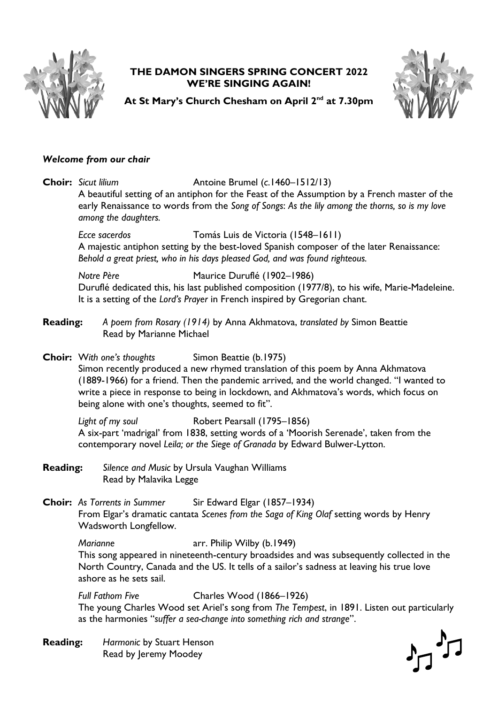

## **THE DAMON SINGERS SPRING CONCERT 2022 WE'RE SINGING AGAIN!**



 $\begin{picture}(20,5) \put(0,0){\line(1,0){155}} \put(15,0){\line(1,0){155}} \put(15,0){\line(1,0){155}} \put(15,0){\line(1,0){155}} \put(15,0){\line(1,0){155}} \put(15,0){\line(1,0){155}} \put(15,0){\line(1,0){155}} \put(15,0){\line(1,0){155}} \put(15,0){\line(1,0){155}} \put(15,0){\line(1,0){155}} \put(15,0){\line(1,0){155}} \put$ 

**At St Mary's Church Chesham on April 2nd at 7.30pm**

## *Welcome from our chair*

**Choir:** *Sicut lilium* Antoine Brumel (*c*.1460–1512/13) A beautiful setting of an antiphon for the Feast of the Assumption by a French master of the early Renaissance to words from the *Song of Songs*: *As the lily among the thorns, so is my love among the daughters.*

*Ecce sacerdos* Tomás Luis de Victoria (1548–1611) A majestic antiphon setting by the best-loved Spanish composer of the later Renaissance: *Behold a great priest, who in his days pleased God, and was found righteous.*

*Notre Père* Maurice Duruflé (1902–1986) Duruflé dedicated this, his last published composition (1977/8), to his wife, Marie-Madeleine. It is a setting of the *Lord's Prayer* in French inspired by Gregorian chant.

**Reading:** *A poem from Rosary (1914)* by Anna Akhmatova, *translated by* Simon Beattie Read by Marianne Michael

**Choir:** W*ith one's thoughts* Simon Beattie (b.1975) Simon recently produced a new rhymed translation of this poem by Anna Akhmatova (1889-1966) for a friend. Then the pandemic arrived, and the world changed. "I wanted to write a piece in response to being in lockdown, and Akhmatova's words, which focus on being alone with one's thoughts, seemed to fit".

*Light of my soul* Robert Pearsall (1795–1856) A six-part 'madrigal' from 1838, setting words of a 'Moorish Serenade', taken from the contemporary novel *Leila; or the Siege of Granada* by Edward Bulwer-Lytton.

**Reading:** *Silence and Music* by Ursula Vaughan Williams Read by Malavika Legge

**Choir:** *As Torrents in Summer* Sir Edward Elgar (1857–1934) From Elgar's dramatic cantata *Scenes from the Saga of King Olaf* setting words by Henry Wadsworth Longfellow.

*Marianne* **arr.** Philip Wilby (b.1949) This song appeared in nineteenth-century broadsides and was subsequently collected in the North Country, Canada and the US. It tells of a sailor's sadness at leaving his true love ashore as he sets sail.

*Full Fathom Five* Charles Wood (1866–1926) The young Charles Wood set Ariel's song from *The Tempest*, in 1891. Listen out particularly as the harmonies "*suffer a sea-change into something rich and strange*".

**Reading:** *Harmonic* by Stuart Henson Read by Jeremy Moodey